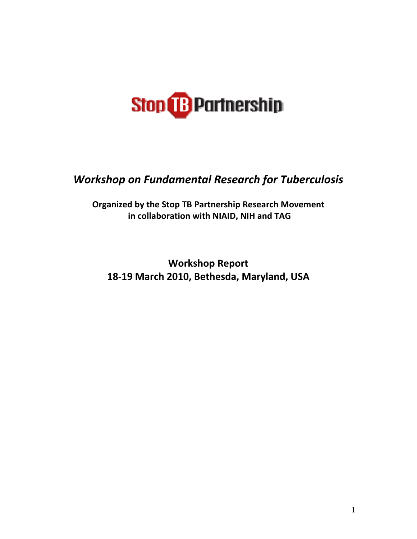

*Workshop on Fundamental Research for Tuberculosis* 

**Organized by the Stop TB Partnership Research Movement in collaboration with NIAID, NIH and TAG** 

**Workshop Report 18‐19 March 2010, Bethesda, Maryland, USA**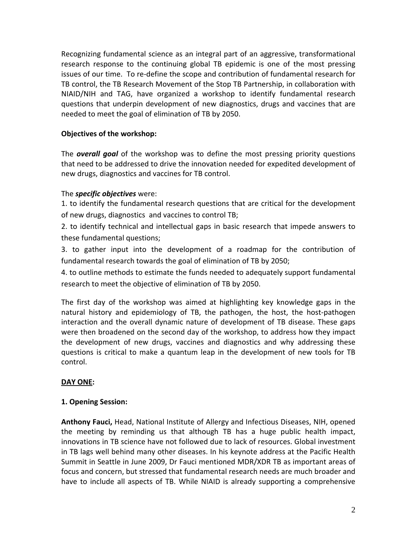Recognizing fundamental science as an integral part of an aggressive, transformational research response to the continuing global TB epidemic is one of the most pressing issues of our time. To re‐define the scope and contribution of fundamental research for TB control, the TB Research Movement of the Stop TB Partnership, in collaboration with NIAID/NIH and TAG, have organized a workshop to identify fundamental research questions that underpin development of new diagnostics, drugs and vaccines that are needed to meet the goal of elimination of TB by 2050.

# **Objectives of the workshop:**

The *overall goal* of the workshop was to define the most pressing priority questions that need to be addressed to drive the innovation needed for expedited development of new drugs, diagnostics and vaccines for TB control.

# The *specific objectives* were:

1. to identify the fundamental research questions that are critical for the development of new drugs, diagnostics and vaccines to control TB;

2. to identify technical and intellectual gaps in basic research that impede answers to these fundamental questions;

3. to gather input into the development of a roadmap for the contribution of fundamental research towards the goal of elimination of TB by 2050;

4. to outline methods to estimate the funds needed to adequately support fundamental research to meet the objective of elimination of TB by 2050.

The first day of the workshop was aimed at highlighting key knowledge gaps in the natural history and epidemiology of TB, the pathogen, the host, the host-pathogen interaction and the overall dynamic nature of development of TB disease. These gaps were then broadened on the second day of the workshop, to address how they impact the development of new drugs, vaccines and diagnostics and why addressing these questions is critical to make a quantum leap in the development of new tools for TB control.

# **DAY ONE:**

# **1. Opening Session:**

**Anthony Fauci,** Head, National Institute of Allergy and Infectious Diseases, NIH, opened the meeting by reminding us that although TB has a huge public health impact, innovations in TB science have not followed due to lack of resources. Global investment in TB lags well behind many other diseases. In his keynote address at the Pacific Health Summit in Seattle in June 2009, Dr Fauci mentioned MDR/XDR TB as important areas of focus and concern, but stressed that fundamental research needs are much broader and have to include all aspects of TB. While NIAID is already supporting a comprehensive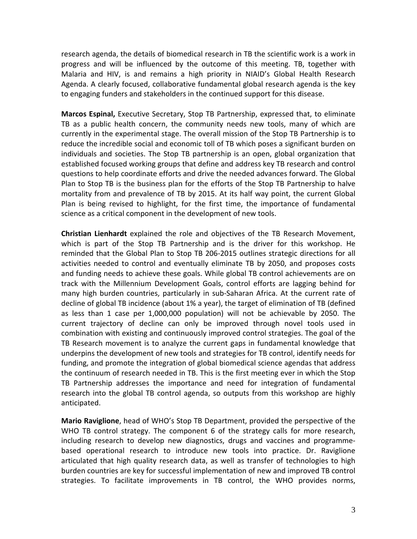research agenda, the details of biomedical research in TB the scientific work is a work in progress and will be influenced by the outcome of this meeting. TB, together with Malaria and HIV, is and remains a high priority in NIAID's Global Health Research Agenda. A clearly focused, collaborative fundamental global research agenda is the key to engaging funders and stakeholders in the continued support for this disease.

**Marcos Espinal,** Executive Secretary, Stop TB Partnership, expressed that, to eliminate TB as a public health concern, the community needs new tools, many of which are currently in the experimental stage. The overall mission of the Stop TB Partnership is to reduce the incredible social and economic toll of TB which poses a significant burden on individuals and societies. The Stop TB partnership is an open, global organization that established focused working groups that define and address key TB research and control questions to help coordinate efforts and drive the needed advances forward. The Global Plan to Stop TB is the business plan for the efforts of the Stop TB Partnership to halve mortality from and prevalence of TB by 2015. At its half way point, the current Global Plan is being revised to highlight, for the first time, the importance of fundamental science as a critical component in the development of new tools.

**Christian Lienhardt** explained the role and objectives of the TB Research Movement, which is part of the Stop TB Partnership and is the driver for this workshop. He reminded that the Global Plan to Stop TB 206‐2015 outlines strategic directions for all activities needed to control and eventually eliminate TB by 2050, and proposes costs and funding needs to achieve these goals. While global TB control achievements are on track with the Millennium Development Goals, control efforts are lagging behind for many high burden countries, particularly in sub-Saharan Africa. At the current rate of decline of global TB incidence (about 1% a year), the target of elimination of TB (defined as less than 1 case per 1,000,000 population) will not be achievable by 2050. The current trajectory of decline can only be improved through novel tools used in combination with existing and continuously improved control strategies. The goal of the TB Research movement is to analyze the current gaps in fundamental knowledge that underpins the development of new tools and strategies for TB control, identify needs for funding, and promote the integration of global biomedical science agendas that address the continuum of research needed in TB. This is the first meeting ever in which the Stop TB Partnership addresses the importance and need for integration of fundamental research into the global TB control agenda, so outputs from this workshop are highly anticipated.

**Mario Raviglione**, head of WHO's Stop TB Department, provided the perspective of the WHO TB control strategy. The component 6 of the strategy calls for more research, including research to develop new diagnostics, drugs and vaccines and programme‐ based operational research to introduce new tools into practice. Dr. Raviglione articulated that high quality research data, as well as transfer of technologies to high burden countries are key for successful implementation of new and improved TB control strategies. To facilitate improvements in TB control, the WHO provides norms,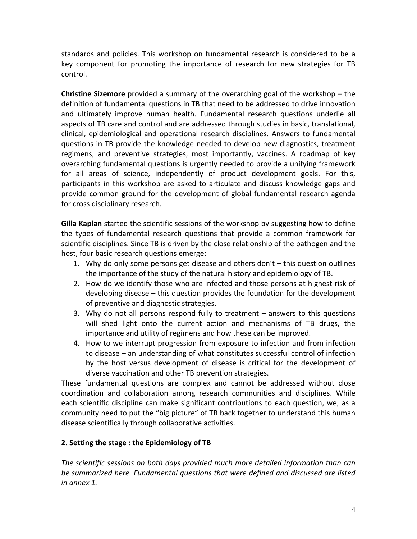standards and policies. This workshop on fundamental research is considered to be a key component for promoting the importance of research for new strategies for TB control.

**Christine Sizemore** provided a summary of the overarching goal of the workshop – the definition of fundamental questions in TB that need to be addressed to drive innovation and ultimately improve human health. Fundamental research questions underlie all aspects of TB care and control and are addressed through studies in basic, translational, clinical, epidemiological and operational research disciplines. Answers to fundamental questions in TB provide the knowledge needed to develop new diagnostics, treatment regimens, and preventive strategies, most importantly, vaccines. A roadmap of key overarching fundamental questions is urgently needed to provide a unifying framework for all areas of science, independently of product development goals. For this, participants in this workshop are asked to articulate and discuss knowledge gaps and provide common ground for the development of global fundamental research agenda for cross disciplinary research.

**Gilla Kaplan** started the scientific sessions of the workshop by suggesting how to define the types of fundamental research questions that provide a common framework for scientific disciplines. Since TB is driven by the close relationship of the pathogen and the host, four basic research questions emerge:

- 1. Why do only some persons get disease and others don't  $-$  this question outlines the importance of the study of the natural history and epidemiology of TB.
- 2. How do we identify those who are infected and those persons at highest risk of developing disease – this question provides the foundation for the development of preventive and diagnostic strategies.
- 3. Why do not all persons respond fully to treatment answers to this questions will shed light onto the current action and mechanisms of TB drugs, the importance and utility of regimens and how these can be improved.
- 4. How to we interrupt progression from exposure to infection and from infection to disease – an understanding of what constitutes successful control of infection by the host versus development of disease is critical for the development of diverse vaccination and other TB prevention strategies.

These fundamental questions are complex and cannot be addressed without close coordination and collaboration among research communities and disciplines. While each scientific discipline can make significant contributions to each question, we, as a community need to put the "big picture" of TB back together to understand this human disease scientifically through collaborative activities.

# **2. Setting the stage : the Epidemiology of TB**

*The scientific sessions on both days provided much more detailed information than can be summarized here. Fundamental questions that were defined and discussed are listed in annex 1.*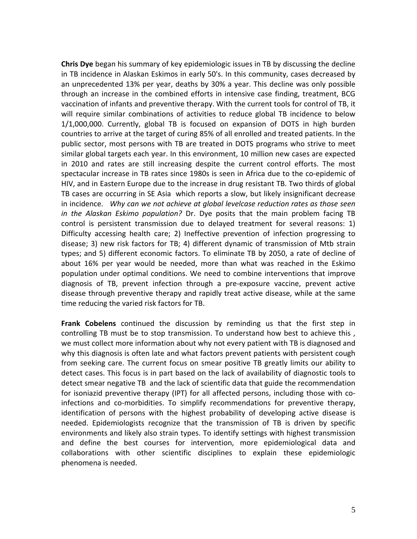**Chris Dye** began his summary of key epidemiologic issues in TB by discussing the decline in TB incidence in Alaskan Eskimos in early 50's. In this community, cases decreased by an unprecedented 13% per year, deaths by 30% a year. This decline was only possible through an increase in the combined efforts in intensive case finding, treatment, BCG vaccination of infants and preventive therapy. With the current tools for control of TB, it will require similar combinations of activities to reduce global TB incidence to below 1/1,000,000. Currently, global TB is focused on expansion of DOTS in high burden countries to arrive at the target of curing 85% of all enrolled and treated patients. In the public sector, most persons with TB are treated in DOTS programs who strive to meet similar global targets each year. In this environment, 10 million new cases are expected in 2010 and rates are still increasing despite the current control efforts. The most spectacular increase in TB rates since 1980s is seen in Africa due to the co‐epidemic of HIV, and in Eastern Europe due to the increase in drug resistant TB. Two thirds of global TB cases are occurring in SE Asia which reports a slow, but likely insignificant decrease in incidence. *Why can we not achieve at global levelcase reduction rates as those seen in the Alaskan Eskimo population?* Dr. Dye posits that the main problem facing TB control is persistent transmission due to delayed treatment for several reasons: 1) Difficulty accessing health care; 2) Ineffective prevention of infection progressing to disease; 3) new risk factors for TB; 4) different dynamic of transmission of Mtb strain types; and 5) different economic factors. To eliminate TB by 2050, a rate of decline of about 16% per year would be needed, more than what was reached in the Eskimo population under optimal conditions. We need to combine interventions that improve diagnosis of TB, prevent infection through a pre‐exposure vaccine, prevent active disease through preventive therapy and rapidly treat active disease, while at the same time reducing the varied risk factors for TB.

**Frank Cobelens** continued the discussion by reminding us that the first step in controlling TB must be to stop transmission. To understand how best to achieve this , we must collect more information about why not every patient with TB is diagnosed and why this diagnosis is often late and what factors prevent patients with persistent cough from seeking care. The current focus on smear positive TB greatly limits our ability to detect cases. This focus is in part based on the lack of availability of diagnostic tools to detect smear negative TB and the lack of scientific data that guide the recommendation for isoniazid preventive therapy (IPT) for all affected persons, including those with coinfections and co-morbidities. To simplify recommendations for preventive therapy, identification of persons with the highest probability of developing active disease is needed. Epidemiologists recognize that the transmission of TB is driven by specific environments and likely also strain types. To identify settings with highest transmission and define the best courses for intervention, more epidemiological data and collaborations with other scientific disciplines to explain these epidemiologic phenomena is needed.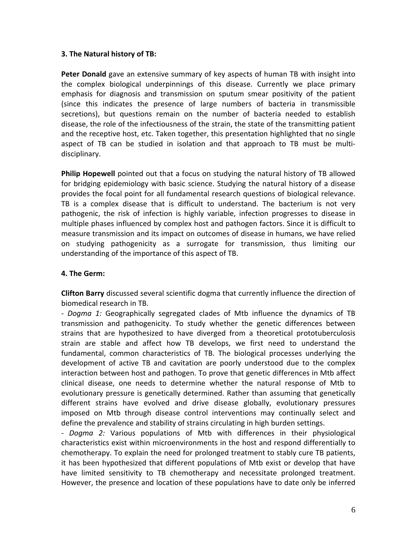# **3. The Natural history of TB:**

**Peter Donald** gave an extensive summary of key aspects of human TB with insight into the complex biological underpinnings of this disease. Currently we place primary emphasis for diagnosis and transmission on sputum smear positivity of the patient (since this indicates the presence of large numbers of bacteria in transmissible secretions), but questions remain on the number of bacteria needed to establish disease, the role of the infectiousness of the strain, the state of the transmitting patient and the receptive host, etc. Taken together, this presentation highlighted that no single aspect of TB can be studied in isolation and that approach to TB must be multi‐ disciplinary.

**Philip Hopewell** pointed out that a focus on studying the natural history of TB allowed for bridging epidemiology with basic science. Studying the natural history of a disease provides the focal point for all fundamental research questions of biological relevance. TB is a complex disease that is difficult to understand. The bacterium is not very pathogenic, the risk of infection is highly variable, infection progresses to disease in multiple phases influenced by complex host and pathogen factors. Since it is difficult to measure transmission and its impact on outcomes of disease in humans, we have relied on studying pathogenicity as a surrogate for transmission, thus limiting our understanding of the importance of this aspect of TB.

# **4. The Germ:**

**Clifton Barry** discussed several scientific dogma that currently influence the direction of biomedical research in TB.

*‐ Dogma 1:* Geographically segregated clades of Mtb influence the dynamics of TB transmission and pathogenicity. To study whether the genetic differences between strains that are hypothesized to have diverged from a theoretical prototuberculosis strain are stable and affect how TB develops, we first need to understand the fundamental, common characteristics of TB. The biological processes underlying the development of active TB and cavitation are poorly understood due to the complex interaction between host and pathogen. To prove that genetic differences in Mtb affect clinical disease, one needs to determine whether the natural response of Mtb to evolutionary pressure is genetically determined. Rather than assuming that genetically different strains have evolved and drive disease globally, evolutionary pressures imposed on Mtb through disease control interventions may continually select and define the prevalence and stability of strains circulating in high burden settings.

*‐ Dogma 2:* Various populations of Mtb with differences in their physiological characteristics exist within microenvironments in the host and respond differentially to chemotherapy. To explain the need for prolonged treatment to stably cure TB patients, it has been hypothesized that different populations of Mtb exist or develop that have have limited sensitivity to TB chemotherapy and necessitate prolonged treatment. However, the presence and location of these populations have to date only be inferred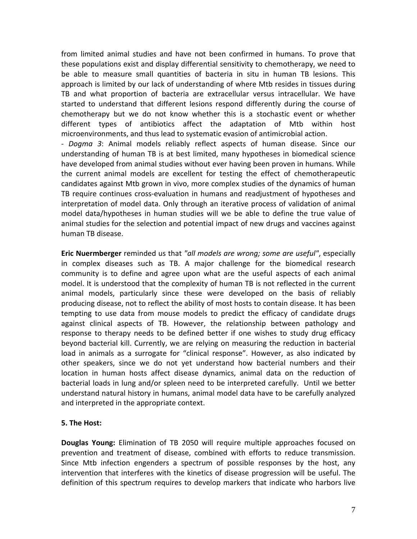from limited animal studies and have not been confirmed in humans. To prove that these populations exist and display differential sensitivity to chemotherapy, we need to be able to measure small quantities of bacteria in situ in human TB lesions. This approach is limited by our lack of understanding of where Mtb resides in tissues during TB and what proportion of bacteria are extracellular versus intracellular. We have started to understand that different lesions respond differently during the course of chemotherapy but we do not know whether this is a stochastic event or whether different types of antibiotics affect the adaptation of Mtb within host microenvironments, and thus lead to systematic evasion of antimicrobial action. *‐ Dogma 3*: Animal models reliably reflect aspects of human disease. Since our understanding of human TB is at best limited, many hypotheses in biomedical science have developed from animal studies without ever having been proven in humans. While the current animal models are excellent for testing the effect of chemotherapeutic candidates against Mtb grown in vivo, more complex studies of the dynamics of human TB require continues cross‐evaluation in humans and readjustment of hypotheses and interpretation of model data. Only through an iterative process of validation of animal

model data/hypotheses in human studies will we be able to define the true value of animal studies for the selection and potential impact of new drugs and vaccines against human TB disease.

**Eric Nuermberger** reminded us that *"all models are wrong; some are useful"*, especially in complex diseases such as TB. A major challenge for the biomedical research community is to define and agree upon what are the useful aspects of each animal model. It is understood that the complexity of human TB is not reflected in the current animal models, particularly since these were developed on the basis of reliably producing disease, not to reflect the ability of most hosts to contain disease. It has been tempting to use data from mouse models to predict the efficacy of candidate drugs against clinical aspects of TB. However, the relationship between pathology and response to therapy needs to be defined better if one wishes to study drug efficacy beyond bacterial kill. Currently, we are relying on measuring the reduction in bacterial load in animals as a surrogate for "clinical response". However, as also indicated by other speakers, since we do not yet understand how bacterial numbers and their location in human hosts affect disease dynamics, animal data on the reduction of bacterial loads in lung and/or spleen need to be interpreted carefully. Until we better understand natural history in humans, animal model data have to be carefully analyzed and interpreted in the appropriate context.

# **5. The Host:**

**Douglas Young:** Elimination of TB 2050 will require multiple approaches focused on prevention and treatment of disease, combined with efforts to reduce transmission. Since Mtb infection engenders a spectrum of possible responses by the host, any intervention that interferes with the kinetics of disease progression will be useful. The definition of this spectrum requires to develop markers that indicate who harbors live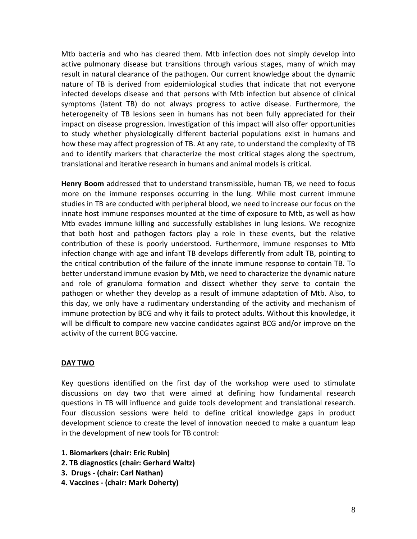Mtb bacteria and who has cleared them. Mtb infection does not simply develop into active pulmonary disease but transitions through various stages, many of which may result in natural clearance of the pathogen. Our current knowledge about the dynamic nature of TB is derived from epidemiological studies that indicate that not everyone infected develops disease and that persons with Mtb infection but absence of clinical symptoms (latent TB) do not always progress to active disease. Furthermore, the heterogeneity of TB lesions seen in humans has not been fully appreciated for their impact on disease progression. Investigation of this impact will also offer opportunities to study whether physiologically different bacterial populations exist in humans and how these may affect progression of TB. At any rate, to understand the complexity of TB and to identify markers that characterize the most critical stages along the spectrum, translational and iterative research in humans and animal models is critical.

**Henry Boom** addressed that to understand transmissible, human TB, we need to focus more on the immune responses occurring in the lung. While most current immune studies in TB are conducted with peripheral blood, we need to increase our focus on the innate host immune responses mounted at the time of exposure to Mtb, as well as how Mtb evades immune killing and successfully establishes in lung lesions. We recognize that both host and pathogen factors play a role in these events, but the relative contribution of these is poorly understood. Furthermore, immune responses to Mtb infection change with age and infant TB develops differently from adult TB, pointing to the critical contribution of the failure of the innate immune response to contain TB. To better understand immune evasion by Mtb, we need to characterize the dynamic nature and role of granuloma formation and dissect whether they serve to contain the pathogen or whether they develop as a result of immune adaptation of Mtb. Also, to this day, we only have a rudimentary understanding of the activity and mechanism of immune protection by BCG and why it fails to protect adults. Without this knowledge, it will be difficult to compare new vaccine candidates against BCG and/or improve on the activity of the current BCG vaccine.

# **DAY TWO**

Key questions identified on the first day of the workshop were used to stimulate discussions on day two that were aimed at defining how fundamental research questions in TB will influence and guide tools development and translational research. Four discussion sessions were held to define critical knowledge gaps in product development science to create the level of innovation needed to make a quantum leap in the development of new tools for TB control:

- **1. Biomarkers (chair: Eric Rubin)**
- **2. TB diagnostics (chair: Gerhard Waltz)**
- **3. Drugs ‐ (chair: Carl Nathan)**
- **4. Vaccines ‐ (chair: Mark Doherty)**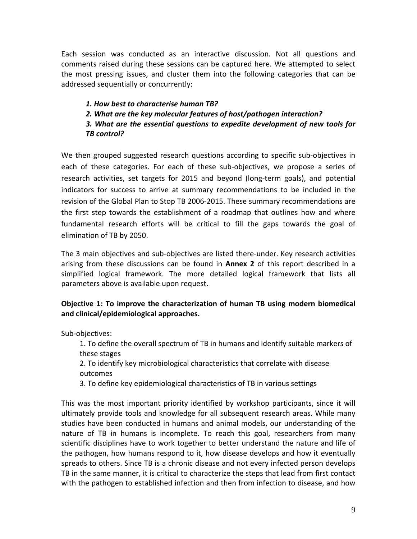Each session was conducted as an interactive discussion. Not all questions and comments raised during these sessions can be captured here. We attempted to select the most pressing issues, and cluster them into the following categories that can be addressed sequentially or concurrently:

*1. How best to characterise human TB? 2. What are the key molecular features of host/pathogen interaction? 3. What are the essential questions to expedite development of new tools for TB control?*

We then grouped suggested research questions according to specific sub-objectives in each of these categories. For each of these sub‐objectives, we propose a series of research activities, set targets for 2015 and beyond (long‐term goals), and potential indicators for success to arrive at summary recommendations to be included in the revision of the Global Plan to Stop TB 2006‐2015. These summary recommendations are the first step towards the establishment of a roadmap that outlines how and where fundamental research efforts will be critical to fill the gaps towards the goal of elimination of TB by 2050.

The 3 main objectives and sub‐objectives are listed there‐under. Key research activities arising from these discussions can be found in **Annex 2** of this report described in a simplified logical framework. The more detailed logical framework that lists all parameters above is available upon request.

# **Objective 1: To improve the characterization of human TB using modern biomedical and clinical/epidemiological approaches.**

Sub‐objectives:

1. To define the overall spectrum of TB in humans and identify suitable markers of these stages

2. To identify key microbiological characteristics that correlate with disease outcomes

3. To define key epidemiological characteristics of TB in various settings

This was the most important priority identified by workshop participants, since it will ultimately provide tools and knowledge for all subsequent research areas. While many studies have been conducted in humans and animal models, our understanding of the nature of TB in humans is incomplete. To reach this goal, researchers from many scientific disciplines have to work together to better understand the nature and life of the pathogen, how humans respond to it, how disease develops and how it eventually spreads to others. Since TB is a chronic disease and not every infected person develops TB in the same manner, it is critical to characterize the steps that lead from first contact with the pathogen to established infection and then from infection to disease, and how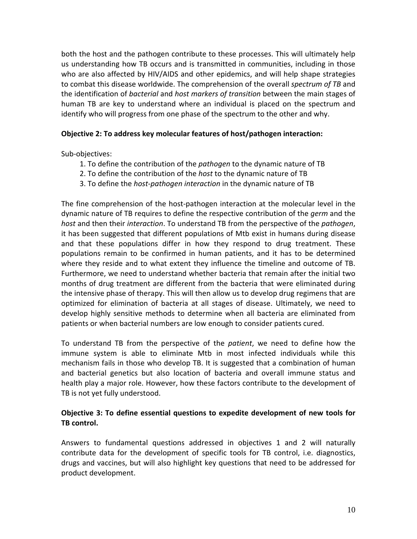both the host and the pathogen contribute to these processes. This will ultimately help us understanding how TB occurs and is transmitted in communities, including in those who are also affected by HIV/AIDS and other epidemics, and will help shape strategies to combat this disease worldwide. The comprehension of the overall *spectrum of TB* and the identification of *bacterial* and *host markers of transition* between the main stages of human TB are key to understand where an individual is placed on the spectrum and identify who will progress from one phase of the spectrum to the other and why.

# **Objective 2: To address key molecular features of host/pathogen interaction:**

Sub‐objectives:

- 1. To define the contribution of the *pathogen* to the dynamic nature of TB
- 2. To define the contribution of the *host* to the dynamic nature of TB
- 3. To define the *host‐pathogen interaction* in the dynamic nature of TB

The fine comprehension of the host‐pathogen interaction at the molecular level in the dynamic nature of TB requires to define the respective contribution of the *germ* and the *host* and then their *interaction*. To understand TB from the perspective of the *pathogen*, it has been suggested that different populations of Mtb exist in humans during disease and that these populations differ in how they respond to drug treatment. These populations remain to be confirmed in human patients, and it has to be determined where they reside and to what extent they influence the timeline and outcome of TB. Furthermore, we need to understand whether bacteria that remain after the initial two months of drug treatment are different from the bacteria that were eliminated during the intensive phase of therapy. This will then allow us to develop drug regimens that are optimized for elimination of bacteria at all stages of disease. Ultimately, we need to develop highly sensitive methods to determine when all bacteria are eliminated from patients or when bacterial numbers are low enough to consider patients cured.

To understand TB from the perspective of the *patient*, we need to define how the immune system is able to eliminate Mtb in most infected individuals while this mechanism fails in those who develop TB. It is suggested that a combination of human and bacterial genetics but also location of bacteria and overall immune status and health play a major role. However, how these factors contribute to the development of TB is not yet fully understood.

# **Objective 3: To define essential questions to expedite development of new tools for TB control.**

Answers to fundamental questions addressed in objectives 1 and 2 will naturally contribute data for the development of specific tools for TB control, i.e. diagnostics, drugs and vaccines, but will also highlight key questions that need to be addressed for product development.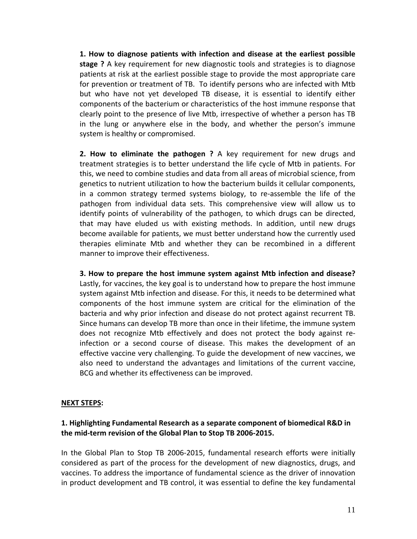**1. How to diagnose patients with infection and disease at the earliest possible stage ?** A key requirement for new diagnostic tools and strategies is to diagnose patients at risk at the earliest possible stage to provide the most appropriate care for prevention or treatment of TB. To identify persons who are infected with Mtb but who have not yet developed TB disease, it is essential to identify either components of the bacterium or characteristics of the host immune response that clearly point to the presence of live Mtb, irrespective of whether a person has TB in the lung or anywhere else in the body, and whether the person's immune system is healthy or compromised.

**2. How to eliminate the pathogen ?** A key requirement for new drugs and treatment strategies is to better understand the life cycle of Mtb in patients. For this, we need to combine studies and data from all areas of microbial science, from genetics to nutrient utilization to how the bacterium builds it cellular components, in a common strategy termed systems biology, to re‐assemble the life of the pathogen from individual data sets. This comprehensive view will allow us to identify points of vulnerability of the pathogen, to which drugs can be directed, that may have eluded us with existing methods. In addition, until new drugs become available for patients, we must better understand how the currently used therapies eliminate Mtb and whether they can be recombined in a different manner to improve their effectiveness.

**3. How to prepare the host immune system against Mtb infection and disease?**  Lastly, for vaccines, the key goal is to understand how to prepare the host immune system against Mtb infection and disease. For this, it needs to be determined what components of the host immune system are critical for the elimination of the bacteria and why prior infection and disease do not protect against recurrent TB. Since humans can develop TB more than once in their lifetime, the immune system does not recognize Mtb effectively and does not protect the body against re‐ infection or a second course of disease. This makes the development of an effective vaccine very challenging. To guide the development of new vaccines, we also need to understand the advantages and limitations of the current vaccine, BCG and whether its effectiveness can be improved.

## **NEXT STEPS:**

# **1. Highlighting Fundamental Research as a separate component of biomedical R&D in the mid‐term revision of the Global Plan to Stop TB 2006‐2015.**

In the Global Plan to Stop TB 2006‐2015, fundamental research efforts were initially considered as part of the process for the development of new diagnostics, drugs, and vaccines. To address the importance of fundamental science as the driver of innovation in product development and TB control, it was essential to define the key fundamental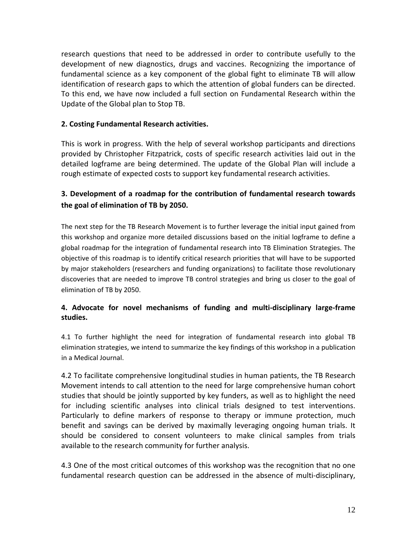research questions that need to be addressed in order to contribute usefully to the development of new diagnostics, drugs and vaccines. Recognizing the importance of fundamental science as a key component of the global fight to eliminate TB will allow identification of research gaps to which the attention of global funders can be directed. To this end, we have now included a full section on Fundamental Research within the Update of the Global plan to Stop TB.

# **2. Costing Fundamental Research activities.**

This is work in progress. With the help of several workshop participants and directions provided by Christopher Fitzpatrick, costs of specific research activities laid out in the detailed logframe are being determined. The update of the Global Plan will include a rough estimate of expected costs to support key fundamental research activities.

# **3. Development of a roadmap for the contribution of fundamental research towards the goal of elimination of TB by 2050.**

The next step for the TB Research Movement is to further leverage the initial input gained from this workshop and organize more detailed discussions based on the initial logframe to define a global roadmap for the integration of fundamental research into TB Elimination Strategies. The objective of this roadmap is to identify critical research priorities that will have to be supported by major stakeholders (researchers and funding organizations) to facilitate those revolutionary discoveries that are needed to improve TB control strategies and bring us closer to the goal of elimination of TB by 2050.

# **4. Advocate for novel mechanisms of funding and multi‐disciplinary large‐frame studies.**

4.1 To further highlight the need for integration of fundamental research into global TB elimination strategies, we intend to summarize the key findings of this workshop in a publication in a Medical Journal.

4.2 To facilitate comprehensive longitudinal studies in human patients, the TB Research Movement intends to call attention to the need for large comprehensive human cohort studies that should be jointly supported by key funders, as well as to highlight the need for including scientific analyses into clinical trials designed to test interventions. Particularly to define markers of response to therapy or immune protection, much benefit and savings can be derived by maximally leveraging ongoing human trials. It should be considered to consent volunteers to make clinical samples from trials available to the research community for further analysis.

4.3 One of the most critical outcomes of this workshop was the recognition that no one fundamental research question can be addressed in the absence of multi‐disciplinary,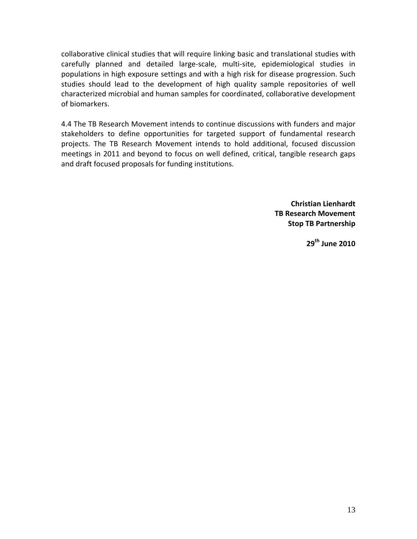collaborative clinical studies that will require linking basic and translational studies with carefully planned and detailed large‐scale, multi‐site, epidemiological studies in populations in high exposure settings and with a high risk for disease progression. Such studies should lead to the development of high quality sample repositories of well characterized microbial and human samples for coordinated, collaborative development of biomarkers.

4.4 The TB Research Movement intends to continue discussions with funders and major stakeholders to define opportunities for targeted support of fundamental research projects. The TB Research Movement intends to hold additional, focused discussion meetings in 2011 and beyond to focus on well defined, critical, tangible research gaps and draft focused proposals for funding institutions.

> **Christian Lienhardt TB Research Movement Stop TB Partnership**

> > **29th June 2010**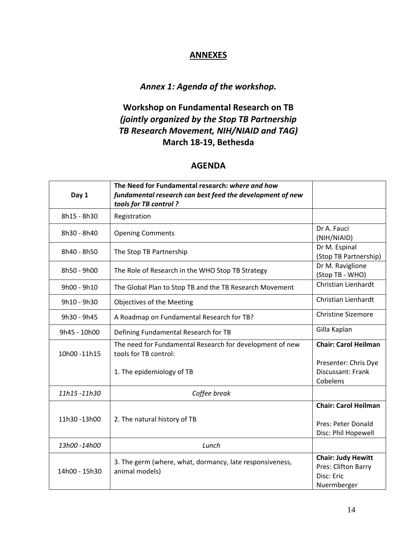# **ANNEXES**

# *Annex 1: Agenda of the workshop.*

# **Workshop on Fundamental Research on TB**  *(jointly organized by the Stop TB Partnership TB Research Movement, NIH/NIAID and TAG)* **March 18‐19, Bethesda**

# **AGENDA**

| Day 1         | The Need for Fundamental research: where and how<br>fundamental research can best feed the development of new<br>tools for TB control? |                                                                               |
|---------------|----------------------------------------------------------------------------------------------------------------------------------------|-------------------------------------------------------------------------------|
| 8h15 - 8h30   | Registration                                                                                                                           |                                                                               |
| 8h30 - 8h40   | <b>Opening Comments</b>                                                                                                                | Dr A. Fauci<br>(NIH/NIAID)                                                    |
| 8h40 - 8h50   | The Stop TB Partnership                                                                                                                | Dr M. Espinal<br>(Stop TB Partnership)                                        |
| 8h50 - 9h00   | The Role of Research in the WHO Stop TB Strategy                                                                                       | Dr M. Raviglione<br>(Stop TB - WHO)                                           |
| 9h00 - 9h10   | The Global Plan to Stop TB and the TB Research Movement                                                                                | Christian Lienhardt                                                           |
| 9h10 - 9h30   | Objectives of the Meeting                                                                                                              | Christian Lienhardt                                                           |
| 9h30 - 9h45   | A Roadmap on Fundamental Research for TB?                                                                                              | <b>Christine Sizemore</b>                                                     |
| 9h45 - 10h00  | Defining Fundamental Research for TB                                                                                                   | Gilla Kaplan                                                                  |
| 10h00-11h15   | The need for Fundamental Research for development of new<br>tools for TB control:                                                      | <b>Chair: Carol Heilman</b>                                                   |
|               | 1. The epidemiology of TB                                                                                                              | Presenter: Chris Dye<br>Discussant: Frank<br>Cobelens                         |
| 11h15-11h30   | Coffee break                                                                                                                           |                                                                               |
| 11h30-13h00   | 2. The natural history of TB                                                                                                           | <b>Chair: Carol Heilman</b><br>Pres: Peter Donald<br>Disc: Phil Hopewell      |
| 13h00-14h00   | Lunch                                                                                                                                  |                                                                               |
| 14h00 - 15h30 | 3. The germ (where, what, dormancy, late responsiveness,<br>animal models)                                                             | <b>Chair: Judy Hewitt</b><br>Pres: Clifton Barry<br>Disc: Eric<br>Nuermberger |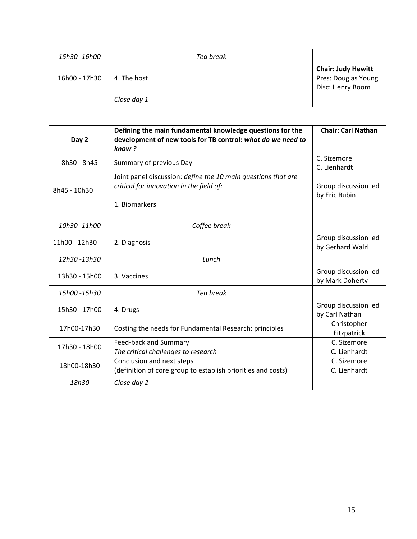| 15h30 -16h00  | Tea break   |                                                                      |
|---------------|-------------|----------------------------------------------------------------------|
| 16h00 - 17h30 | 4. The host | <b>Chair: Judy Hewitt</b><br>Pres: Douglas Young<br>Disc: Henry Boom |
|               | Close day 1 |                                                                      |

| Day 2         | Defining the main fundamental knowledge questions for the<br>development of new tools for TB control: what do we need to<br>know? | <b>Chair: Carl Nathan</b>                |
|---------------|-----------------------------------------------------------------------------------------------------------------------------------|------------------------------------------|
| 8h30 - 8h45   | Summary of previous Day                                                                                                           | C. Sizemore<br>C. Lienhardt              |
| 8h45 - 10h30  | Joint panel discussion: define the 10 main questions that are<br>critical for innovation in the field of:<br>1. Biomarkers        | Group discussion led<br>by Eric Rubin    |
| 10h30 -11h00  | Coffee break                                                                                                                      |                                          |
| 11h00 - 12h30 | 2. Diagnosis                                                                                                                      | Group discussion led<br>by Gerhard Walzl |
| 12h30-13h30   | Lunch                                                                                                                             |                                          |
| 13h30 - 15h00 | 3. Vaccines                                                                                                                       | Group discussion led<br>by Mark Doherty  |
| 15h00 -15h30  | Tea break                                                                                                                         |                                          |
| 15h30 - 17h00 | 4. Drugs                                                                                                                          | Group discussion led<br>by Carl Nathan   |
| 17h00-17h30   | Costing the needs for Fundamental Research: principles                                                                            | Christopher<br>Fitzpatrick               |
| 17h30 - 18h00 | Feed-back and Summary<br>The critical challenges to research                                                                      | C. Sizemore<br>C. Lienhardt              |
| 18h00-18h30   | Conclusion and next steps<br>(definition of core group to establish priorities and costs)                                         | C. Sizemore<br>C. Lienhardt              |
| 18h30         | Close day 2                                                                                                                       |                                          |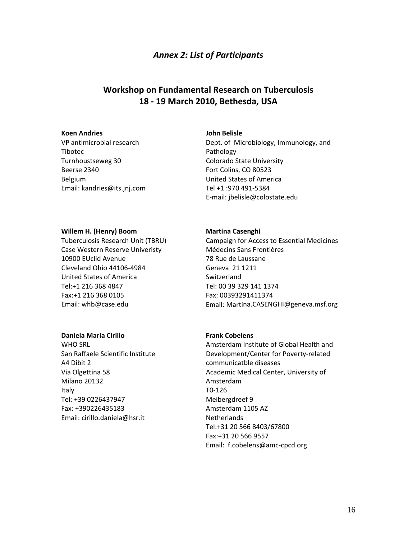# *Annex 2: List of Participants*

# **Workshop on Fundamental Research on Tuberculosis 18 ‐ 19 March 2010, Bethesda, USA**

## **Koen Andries**

VP antimicrobial research Tibotec Turnhoustseweg 30 Beerse 2340 Belgium Email: kandries@its.jnj.com

#### **John Belisle**

Dept. of Microbiology, Immunology, and Pathology Colorado State University Fort Colins, CO 80523 United States of America Tel +1 :970 491‐5384 E‐mail: jbelisle@colostate.edu

#### **Willem H. (Henry) Boom**

Tuberculosis Research Unit (TBRU) Case Western Reserve Univeristy 10900 EUclid Avenue Cleveland Ohio 44106‐4984 United States of America Tel:+1 216 368 4847 Fax:+1 216 368 0105 Email: whb@case.edu

## **Daniela Maria Cirillo**

WHO SRL San Raffaele Scientific Institute A4 Dibit 2 Via Olgettina 58 Milano 20132 Italy Tel: +39 0226437947 Fax: +390226435183 Email: cirillo.daniela@hsr.it

#### **Martina Casenghi**

Campaign for Access to Essential Medicines Médecins Sans Frontières 78 Rue de Laussane Geneva 21 1211 Switzerland Tel: 00 39 329 141 1374 Fax: 00393291411374 Email: Martina.CASENGHI@geneva.msf.org

## **Frank Cobelens**

Amsterdam Institute of Global Health and Development/Center for Poverty‐related communicatble diseases Academic Medical Center, University of Amsterdam T0‐126 Meibergdreef 9 Amsterdam 1105 AZ **Netherlands** Tel:+31 20 566 8403/67800 Fax:+31 20 566 9557 Email: f.cobelens@amc‐cpcd.org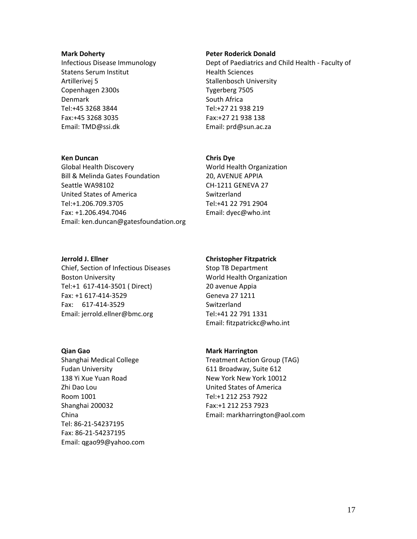#### **Mark Doherty**

Infectious Disease Immunology Statens Serum Institut Artillerivej 5 Copenhagen 2300s Denmark Tel:+45 3268 3844 Fax:+45 3268 3035 Email: TMD@ssi.dk

#### **Ken Duncan**

Global Health Discovery Bill & Melinda Gates Foundation Seattle WA98102 United States of America Tel:+1.206.709.3705 Fax: +1.206.494.7046 Email: ken.duncan@gatesfoundation.org

#### **Jerrold J. Ellner**

Chief, Section of Infectious Diseases Boston University Tel:+1 617‐414‐3501 ( Direct) Fax: +1 617‐414‐3529 Fax: 617‐414‐3529 Email: jerrold.ellner@bmc.org

#### **Qian Gao**

Shanghai Medical College Fudan University 138 Yi Xue Yuan Road Zhi Dao Lou Room 1001 Shanghai 200032 China Tel: 86‐21‐54237195 Fax: 86‐21‐54237195 Email: qgao99@yahoo.com

#### **Peter Roderick Donald**

Dept of Paediatrics and Child Health ‐ Faculty of Health Sciences Stallenbosch University Tygerberg 7505 South Africa Tel:+27 21 938 219 Fax:+27 21 938 138 Email: prd@sun.ac.za

## **Chris Dye**

World Health Organization 20, AVENUE APPIA CH‐1211 GENEVA 27 Switzerland Tel:+41 22 791 2904 Email: dyec@who.int

#### **Christopher Fitzpatrick**

Stop TB Department World Health Organization 20 avenue Appia Geneva 27 1211 Switzerland Tel:+41 22 791 1331 Email: fitzpatrickc@who.int

#### **Mark Harrington**

Treatment Action Group (TAG) 611 Broadway, Suite 612 New York New York 10012 United States of America Tel:+1 212 253 7922 Fax:+1 212 253 7923 Email: markharrington@aol.com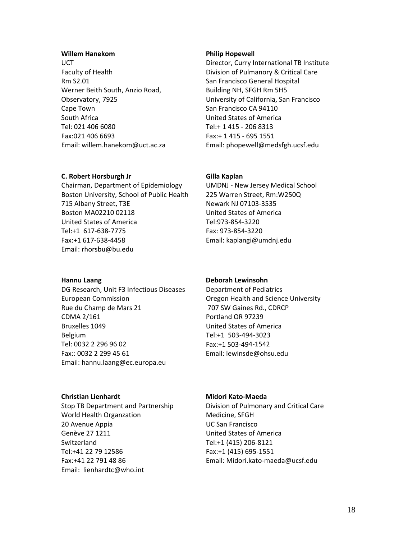## **Willem Hanekom**

**UCT** Faculty of Health Rm S2.01 Werner Beith South, Anzio Road, Observatory, 7925 Cape Town South Africa Tel: 021 406 6080 Fax:021 406 6693 Email: willem.hanekom@uct.ac.za

## **C. Robert Horsburgh Jr**

Chairman, Department of Epidemiology Boston University, School of Public Health 715 Albany Street, T3E Boston MA02210 02118 United States of America Tel:+1 617‐638‐7775 Fax:+1 617‐638‐4458 Email: rhorsbu@bu.edu

## **Hannu Laang**

DG Research, Unit F3 Infectious Diseases European Commission Rue du Champ de Mars 21 CDMA 2/161 Bruxelles 1049 Belgium Tel: 0032 2 296 96 02 Fax:: 0032 2 299 45 61 Email: hannu.laang@ec.europa.eu

## **Christian Lienhardt**

Stop TB Department and Partnership World Health Organzation 20 Avenue Appia Genève 27 1211 Switzerland Tel:+41 22 79 12586 Fax:+41 22 791 48 86 Email: [lienhardtc@who.int](mailto:lienhardtc@who.int)

#### **Philip Hopewell**

Director, Curry International TB Institute Division of Pulmanory & Critical Care San Francisco General Hospital Building NH, SFGH Rm 5H5 University of California, San Francisco San Francisco CA 94110 United States of America Tel:+ 1 415 ‐ 206 8313 Fax:+ 1 415 ‐ 695 1551 Email: phopewell@medsfgh.ucsf.edu

## **Gilla Kaplan**

UMDNJ ‐ New Jersey Medical School 225 Warren Street, Rm:W250Q Newark NJ 07103‐3535 United States of America Tel:973‐854‐3220 Fax: 973‐854‐3220 Email: kaplangi@umdnj.edu

## **Deborah Lewinsohn**

Department of Pediatrics Oregon Health and Science University 707 SW Gaines Rd., CDRCP Portland OR 97239 United States of America Tel:+1 503‐494‐3023 Fax:+1 503‐494‐1542 Email: lewinsde@ohsu.edu

## **Midori Kato‐Maeda**

Division of Pulmonary and Critical Care Medicine, SFGH UC San Francisco United States of America Tel:+1 (415) 206‐8121 Fax:+1 (415) 695‐1551 Email: Midori.kato‐maeda@ucsf.edu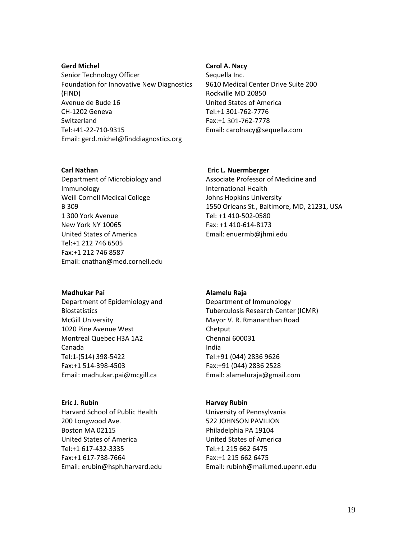## **Gerd Michel**

Senior Technology Officer Foundation for Innovative New Diagnostics (FIND) Avenue de Bude 16 CH‐1202 Geneva Switzerland Tel:+41‐22‐710‐9315 Email: gerd.michel@finddiagnostics.org

## **Carl Nathan**

Department of Microbiology and Immunology Weill Cornell Medical College B 309 1 300 York Avenue New York NY 10065 United States of America Tel:+1 212 746 6505 Fax:+1 212 746 8587 Email: cnathan@med.cornell.edu

## **Madhukar Pai**

Department of Epidemiology and Biostatistics McGill University 1020 Pine Avenue West Montreal Quebec H3A 1A2 Canada Tel:1‐(514) 398‐5422 Fax:+1 514‐398‐4503 Email: madhukar.pai@mcgill.ca

# **Eric J. Rubin**  Harvard School of Public Health

200 Longwood Ave. Boston MA 02115 United States of America Tel:+1 617‐432‐3335 Fax:+1 617‐738‐7664 Email: erubin@hsph.harvard.edu

#### **Carol A. Nacy**

Sequella Inc. 9610 Medical Center Drive Suite 200 Rockville MD 20850 United States of America Tel:+1 301‐762‐7776 Fax:+1 301‐762‐7778 Email: carolnacy@sequella.com

#### **Eric L. Nuermberger**

Associate Professor of Medicine and International Health Johns Hopkins University 1550 Orleans St., Baltimore, MD, 21231, USA Tel: +1 410‐502‐0580 Fax: +1 410‐614‐8173 Email: enuermb@jhmi.edu

## **Alamelu Raja**

Department of Immunology Tuberculosis Research Center (ICMR) Mayor V. R. Rmananthan Road Chetput Chennai 600031 India Tel:+91 (044) 2836 9626 Fax:+91 (044) 2836 2528 Email: alameluraja@gmail.com

#### **Harvey Rubin**

University of Pennsylvania 522 JOHNSON PAVILION Philadelphia PA 19104 United States of America Tel:+1 215 662 6475 Fax:+1 215 662 6475 Email: rubinh@mail.med.upenn.edu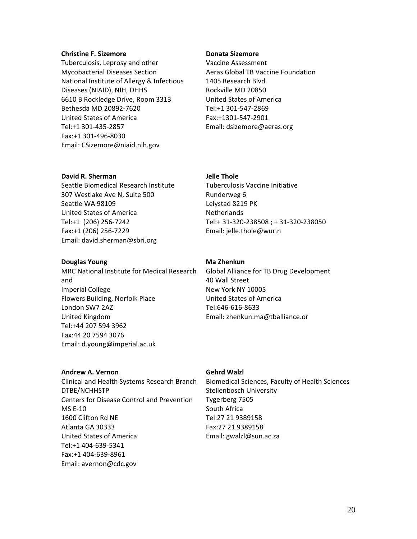## **Christine F. Sizemore**

Tuberculosis, Leprosy and other Mycobacterial Diseases Section National Institute of Allergy & Infectious Diseases (NIAID), NIH, DHHS 6610 B Rockledge Drive, Room 3313 Bethesda MD 20892‐7620 United States of America Tel:+1 301‐435‐2857 Fax:+1 301‐496‐8030 Email: CSizemore@niaid.nih.gov

#### **Donata Sizemore**

Vaccine Assessment Aeras Global TB Vaccine Foundation 1405 Research Blvd. Rockville MD 20850 United States of America Tel:+1 301‐547‐2869 Fax:+1301‐547‐2901 Email: dsizemore@aeras.org

## **David R. Sherman**

Seattle Biomedical Research Institute 307 Westlake Ave N, Suite 500 Seattle WA 98109 United States of America Tel:+1 (206) 256‐7242 Fax:+1 (206) 256‐7229 Email: david.sherman@sbri.org

## **Douglas Young**

MRC National Institute for Medical Research and Imperial College Flowers Building, Norfolk Place London SW7 2AZ United Kingdom Tel:+44 207 594 3962 Fax:44 20 7594 3076 Email: d.young@imperial.ac.uk

## **Jelle Thole**

Tuberculosis Vaccine Initiative Runderweg 6 Lelystad 8219 PK Netherlands Tel:+ 31‐320‐238508 ; + 31‐320‐238050 Email: jelle.thole@wur.n

## **Ma Zhenkun**

Global Alliance for TB Drug Development 40 Wall Street New York NY 10005 United States of America Tel:646‐616‐8633 Email: zhenkun.ma@tballiance.or

## **Andrew A. Vernon**

Clinical and Health Systems Research Branch DTBE/NCHHSTP Centers for Disease Control and Prevention MS E‐10 1600 Clifton Rd NE Atlanta GA 30333 United States of America Tel:+1 404‐639‐5341 Fax:+1 404‐639‐8961 Email: avernon@cdc.gov

## **Gehrd Walzl**

Biomedical Sciences, Faculty of Health Sciences Stellenbosch University Tygerberg 7505 South Africa Tel:27 21 9389158 Fax:27 21 9389158 Email: gwalzl@sun.ac.za